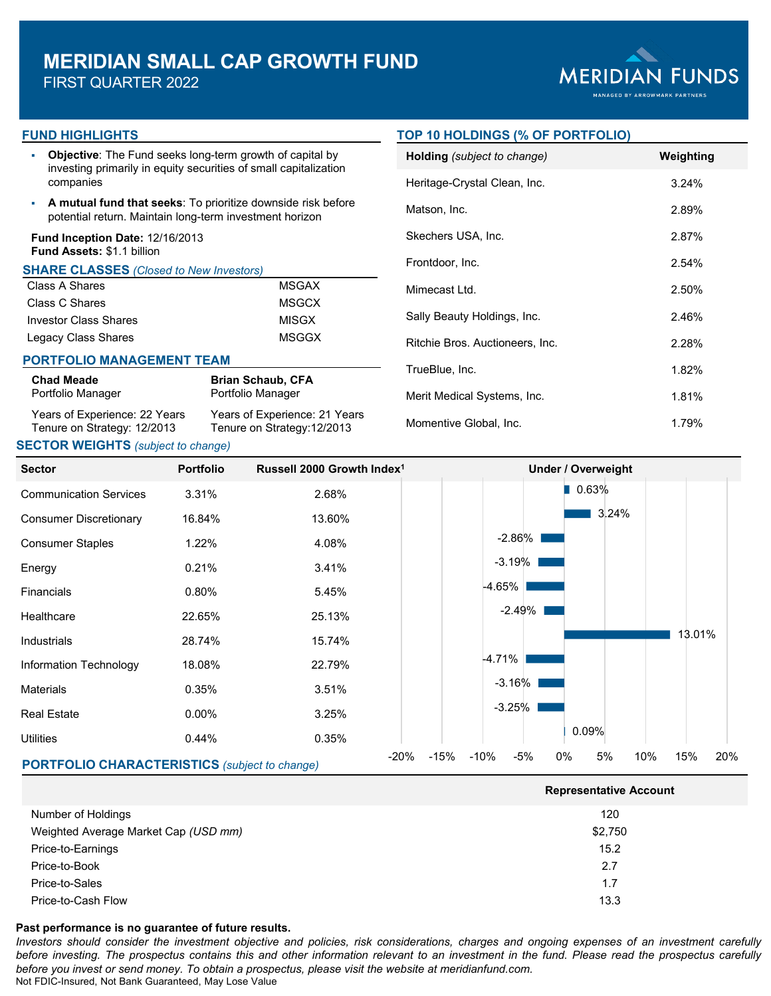# **MERIDIAN SMALL CAP GROWTH FUND**

FIRST QUARTER 2022



#### **FUND HIGHLIGHTS**

 **Objective**: The Fund seeks long-term growth of capital by investing primarily in equity securities of small capitalization companies

 **A mutual fund that seeks**: To prioritize downside risk before potential return. Maintain long-term investment horizon

#### **Fund Inception Date:** 12/16/2013 **Fund Assets:** \$1.1 billion

#### **SHARE CLASSES** *(Closed to New Investors)*

| Class A Shares        | MSGAX |
|-----------------------|-------|
| Class C Shares        | MSGCX |
| Investor Class Shares | MISGX |
| Legacy Class Shares   | MSGGX |

#### **PORTFOLIO MANAGEMENT TEAM**

| <b>Chad Meade</b>             | <b>Brian Schaub, CFA</b>      |
|-------------------------------|-------------------------------|
| Portfolio Manager             | Portfolio Manager             |
| Years of Experience: 22 Years | Years of Experience: 21 Years |
| Tenure on Strategy: 12/2013   | Tenure on Strategy: 12/2013   |

## **SECTOR WEIGHTS** *(subject to change)*

#### **TOP 10 HOLDINGS (% OF PORTFOLIO)**

| Holding (subject to change)     | Weighting |
|---------------------------------|-----------|
| Heritage-Crystal Clean, Inc.    | 3.24%     |
| Matson, Inc.                    | 2.89%     |
| Skechers USA, Inc.              | 2.87%     |
| Frontdoor, Inc.                 | 2.54%     |
| Mimecast Ltd.                   | 2.50%     |
| Sally Beauty Holdings, Inc.     | 2.46%     |
| Ritchie Bros. Auctioneers, Inc. | 2.28%     |
| TrueBlue, Inc.                  | 1.82%     |
| Merit Medical Systems, Inc.     | 1.81%     |
| Momentive Global, Inc.          | 1.79%     |



|                                      | <b>Representative Account</b> |  |  |  |
|--------------------------------------|-------------------------------|--|--|--|
| Number of Holdings                   | 120                           |  |  |  |
| Weighted Average Market Cap (USD mm) | \$2,750                       |  |  |  |
| Price-to-Earnings                    | 15.2                          |  |  |  |
| Price-to-Book                        | 2.7                           |  |  |  |
| Price-to-Sales                       | 1.7                           |  |  |  |
| Price-to-Cash Flow                   | 13.3                          |  |  |  |

#### **Past performance is no guarantee of future results.**

Investors should consider the investment objective and policies, risk considerations, charges and ongoing expenses of an investment carefully before investing. The prospectus contains this and other information relevant to an investment in the fund. Please read the prospectus carefully *before you invest or send money. To obtain a prospectus, please visit the website at meridianfund.com.* Not FDIC-Insured, Not Bank Guaranteed, May Lose Value